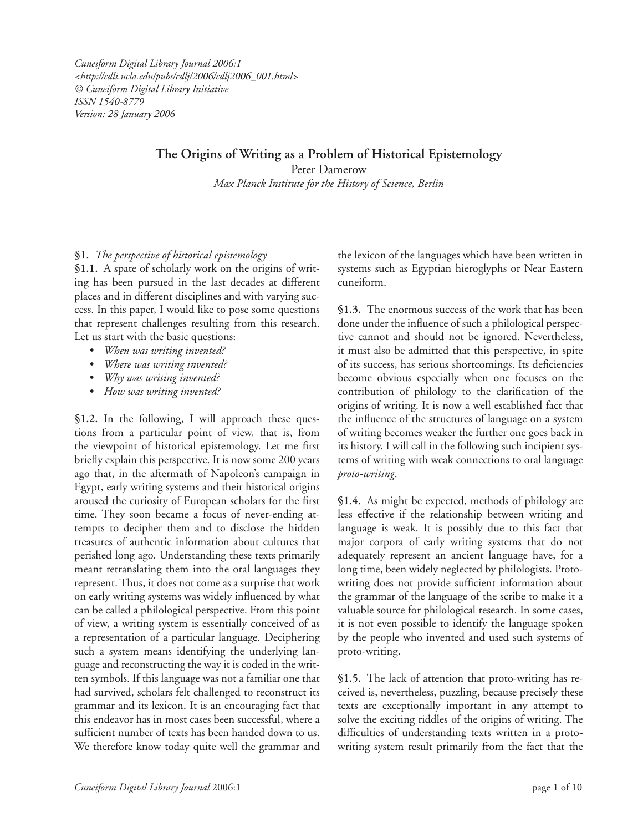*Cuneiform Digital Library Journal 2006:1 <http://cdli.ucla.edu/pubs/cdlj/2006/cdlj2006\_001.html> © Cuneiform Digital Library Initiative ISSN 1540-8779 Version: 28 January 2006*

# **The Origins of Writing as a Problem of Historical Epistemology**

Peter Damerow *Max Planck Institute for the History of Science, Berlin*

# **§1.** *The perspective of historical epistemology*

**§1.1.** A spate of scholarly work on the origins of writing has been pursued in the last decades at different places and in different disciplines and with varying success. In this paper, I would like to pose some questions that represent challenges resulting from this research. Let us start with the basic questions:

- *When was writing invented?*
- *Where was writing invented?*
- *Why was writing invented?*
- *How was writing invented?*

**§1.2.** In the following, I will approach these questions from a particular point of view, that is, from the viewpoint of historical epistemology. Let me first briefly explain this perspective. It is now some 200 years ago that, in the aftermath of Napoleon's campaign in Egypt, early writing systems and their historical origins aroused the curiosity of European scholars for the first time. They soon became a focus of never-ending attempts to decipher them and to disclose the hidden treasures of authentic information about cultures that perished long ago. Understanding these texts primarily meant retranslating them into the oral languages they represent. Thus, it does not come as a surprise that work on early writing systems was widely influenced by what can be called a philological perspective. From this point of view, a writing system is essentially conceived of as a representation of a particular language. Deciphering such a system means identifying the underlying language and reconstructing the way it is coded in the written symbols. If this language was not a familiar one that had survived, scholars felt challenged to reconstruct its grammar and its lexicon. It is an encouraging fact that this endeavor has in most cases been successful, where a sufficient number of texts has been handed down to us. We therefore know today quite well the grammar and the lexicon of the languages which have been written in systems such as Egyptian hieroglyphs or Near Eastern cuneiform.

**§1.3.** The enormous success of the work that has been done under the influence of such a philological perspective cannot and should not be ignored. Nevertheless, it must also be admitted that this perspective, in spite of its success, has serious shortcomings. Its deficiencies become obvious especially when one focuses on the contribution of philology to the clarification of the origins of writing. It is now a well established fact that the influence of the structures of language on a system of writing becomes weaker the further one goes back in its history. I will call in the following such incipient systems of writing with weak connections to oral language *proto-writing*.

**§1.4.** As might be expected, methods of philology are less effective if the relationship between writing and language is weak. It is possibly due to this fact that major corpora of early writing systems that do not adequately represent an ancient language have, for a long time, been widely neglected by philologists. Protowriting does not provide sufficient information about the grammar of the language of the scribe to make it a valuable source for philological research. In some cases, it is not even possible to identify the language spoken by the people who invented and used such systems of proto-writing.

**§1.5.** The lack of attention that proto-writing has received is, nevertheless, puzzling, because precisely these texts are exceptionally important in any attempt to solve the exciting riddles of the origins of writing. The difficulties of understanding texts written in a protowriting system result primarily from the fact that the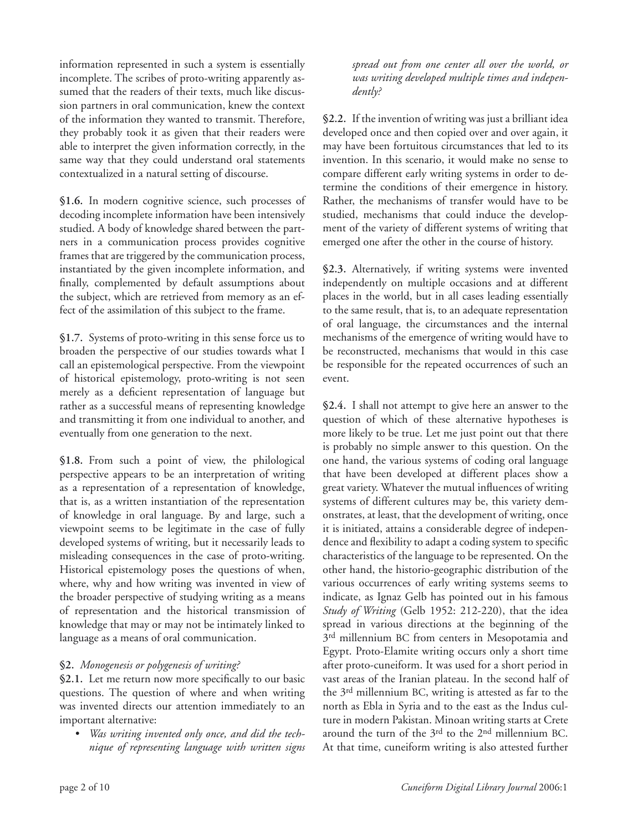information represented in such a system is essentially incomplete. The scribes of proto-writing apparently assumed that the readers of their texts, much like discussion partners in oral communication, knew the context of the information they wanted to transmit. Therefore, they probably took it as given that their readers were able to interpret the given information correctly, in the same way that they could understand oral statements contextualized in a natural setting of discourse.

**§1.6.** In modern cognitive science, such processes of decoding incomplete information have been intensively studied. A body of knowledge shared between the partners in a communication process provides cognitive frames that are triggered by the communication process, instantiated by the given incomplete information, and finally, complemented by default assumptions about the subject, which are retrieved from memory as an effect of the assimilation of this subject to the frame.

**§1.7.** Systems of proto-writing in this sense force us to broaden the perspective of our studies towards what I call an epistemological perspective. From the viewpoint of historical epistemology, proto-writing is not seen merely as a deficient representation of language but rather as a successful means of representing knowledge and transmitting it from one individual to another, and eventually from one generation to the next.

**§1.8.** From such a point of view, the philological perspective appears to be an interpretation of writing as a representation of a representation of knowledge, that is, as a written instantiation of the representation of knowledge in oral language. By and large, such a viewpoint seems to be legitimate in the case of fully developed systems of writing, but it necessarily leads to misleading consequences in the case of proto-writing. Historical epistemology poses the questions of when, where, why and how writing was invented in view of the broader perspective of studying writing as a means of representation and the historical transmission of knowledge that may or may not be intimately linked to language as a means of oral communication.

# **§2.** *Monogenesis or polygenesis of writing?*

§2.1. Let me return now more specifically to our basic questions. The question of where and when writing was invented directs our attention immediately to an important alternative:

• *Was writing invented only once, and did the technique of representing language with written signs*  *spread out from one center all over the world, or was writing developed multiple times and independently?*

**§2.2.** If the invention of writing was just a brilliant idea developed once and then copied over and over again, it may have been fortuitous circumstances that led to its invention. In this scenario, it would make no sense to compare different early writing systems in order to determine the conditions of their emergence in history. Rather, the mechanisms of transfer would have to be studied, mechanisms that could induce the development of the variety of different systems of writing that emerged one after the other in the course of history.

**§2.3.** Alternatively, if writing systems were invented independently on multiple occasions and at different places in the world, but in all cases leading essentially to the same result, that is, to an adequate representation of oral language, the circumstances and the internal mechanisms of the emergence of writing would have to be reconstructed, mechanisms that would in this case be responsible for the repeated occurrences of such an event.

**§2.4.** I shall not attempt to give here an answer to the question of which of these alternative hypotheses is more likely to be true. Let me just point out that there is probably no simple answer to this question. On the one hand, the various systems of coding oral language that have been developed at different places show a great variety. Whatever the mutual influences of writing systems of different cultures may be, this variety demonstrates, at least, that the development of writing, once it is initiated, attains a considerable degree of independence and flexibility to adapt a coding system to specific characteristics of the language to be represented. On the other hand, the historio-geographic distribution of the various occurrences of early writing systems seems to indicate, as Ignaz Gelb has pointed out in his famous *Study of Writing* (Gelb 1952: 212-220), that the idea spread in various directions at the beginning of the 3<sup>rd</sup> millennium BC from centers in Mesopotamia and Egypt. Proto-Elamite writing occurs only a short time after proto-cuneiform. It was used for a short period in vast areas of the Iranian plateau. In the second half of the 3rd millennium BC, writing is attested as far to the north as Ebla in Syria and to the east as the Indus culture in modern Pakistan. Minoan writing starts at Crete around the turn of the 3rd to the 2nd millennium BC. At that time, cuneiform writing is also attested further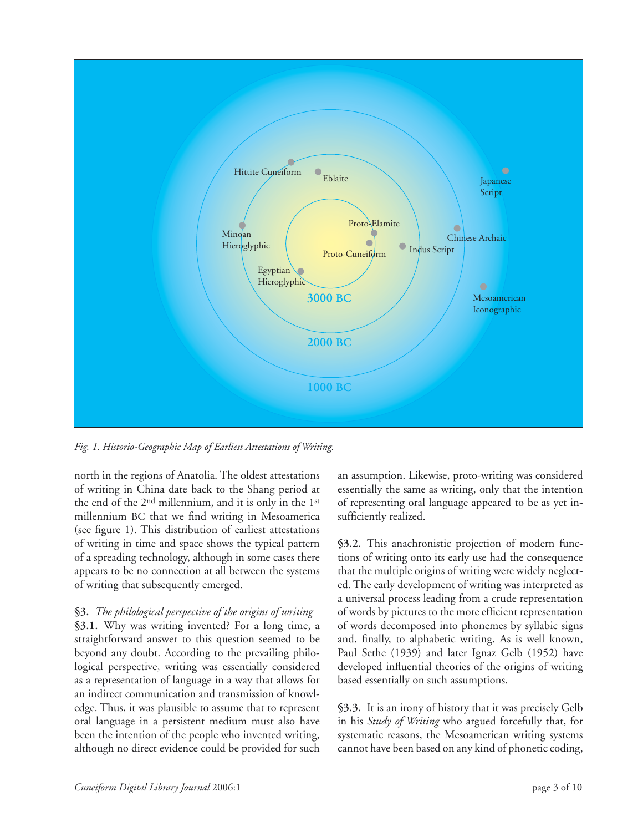

*Fig. 1. Historio-Geographic Map of Earliest Attestations of Writing.*

north in the regions of Anatolia. The oldest attestations of writing in China date back to the Shang period at the end of the 2nd millennium, and it is only in the 1st millennium BC that we find writing in Mesoamerica (see figure 1). This distribution of earliest attestations of writing in time and space shows the typical pattern of a spreading technology, although in some cases there appears to be no connection at all between the systems of writing that subsequently emerged.

# **§3.** *The philological perspective of the origins of writing*

**§3.1.** Why was writing invented? For a long time, a straightforward answer to this question seemed to be beyond any doubt. According to the prevailing philological perspective, writing was essentially considered as a representation of language in a way that allows for an indirect communication and transmission of knowledge. Thus, it was plausible to assume that to represent oral language in a persistent medium must also have been the intention of the people who invented writing, although no direct evidence could be provided for such an assumption. Likewise, proto-writing was considered essentially the same as writing, only that the intention of representing oral language appeared to be as yet insufficiently realized.

**§3.2.** This anachronistic projection of modern functions of writing onto its early use had the consequence that the multiple origins of writing were widely neglected. The early development of writing was interpreted as a universal process leading from a crude representation of words by pictures to the more efficient representation of words decomposed into phonemes by syllabic signs and, finally, to alphabetic writing. As is well known, Paul Sethe (1939) and later Ignaz Gelb (1952) have developed influential theories of the origins of writing based essentially on such assumptions.

**§3.3.** It is an irony of history that it was precisely Gelb in his *Study of Writing* who argued forcefully that, for systematic reasons, the Mesoamerican writing systems cannot have been based on any kind of phonetic coding,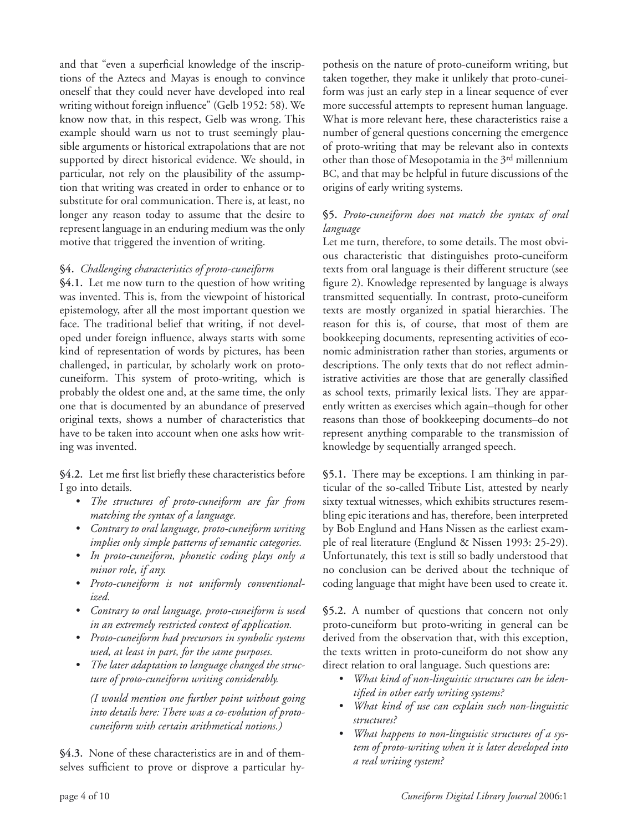and that "even a superficial knowledge of the inscriptions of the Aztecs and Mayas is enough to convince oneself that they could never have developed into real writing without foreign influence" (Gelb 1952: 58). We know now that, in this respect, Gelb was wrong. This example should warn us not to trust seemingly plausible arguments or historical extrapolations that are not supported by direct historical evidence. We should, in particular, not rely on the plausibility of the assumption that writing was created in order to enhance or to substitute for oral communication. There is, at least, no longer any reason today to assume that the desire to represent language in an enduring medium was the only motive that triggered the invention of writing.

# **§4.** *Challenging characteristics of proto-cuneiform*

**§4.1.** Let me now turn to the question of how writing was invented. This is, from the viewpoint of historical epistemology, after all the most important question we face. The traditional belief that writing, if not developed under foreign influence, always starts with some kind of representation of words by pictures, has been challenged, in particular, by scholarly work on protocuneiform. This system of proto-writing, which is probably the oldest one and, at the same time, the only one that is documented by an abundance of preserved original texts, shows a number of characteristics that have to be taken into account when one asks how writing was invented.

§4.2. Let me first list briefly these characteristics before I go into details.

- *The structures of proto-cuneiform are far from matching the syntax of a language.*
- *Contrary to oral language, proto-cuneiform writing implies only simple patterns of semantic categories.*
- *In proto-cuneiform, phonetic coding plays only a minor role, if any.*
- *Proto-cuneiform is not uniformly conventionalized.*
- *Contrary to oral language, proto-cuneiform is used in an extremely restricted context of application.*
- *Proto-cuneiform had precursors in symbolic systems used, at least in part, for the same purposes.*
- *The later adaptation to language changed the structure of proto-cuneiform writing considerably.*

 *(I would mention one further point without going into details here: There was a co-evolution of protocuneiform with certain arithmetical notions.)*

**§4.3.** None of these characteristics are in and of themselves sufficient to prove or disprove a particular hypothesis on the nature of proto-cuneiform writing, but taken together, they make it unlikely that proto-cuneiform was just an early step in a linear sequence of ever more successful attempts to represent human language. What is more relevant here, these characteristics raise a number of general questions concerning the emergence of proto-writing that may be relevant also in contexts other than those of Mesopotamia in the 3rd millennium BC, and that may be helpful in future discussions of the origins of early writing systems.

## **§5.** *Proto-cuneiform does not match the syntax of oral language*

Let me turn, therefore, to some details. The most obvious characteristic that distinguishes proto-cuneiform texts from oral language is their different structure (see figure 2). Knowledge represented by language is always transmitted sequentially. In contrast, proto-cuneiform texts are mostly organized in spatial hierarchies. The reason for this is, of course, that most of them are bookkeeping documents, representing activities of economic administration rather than stories, arguments or descriptions. The only texts that do not reflect administrative activities are those that are generally classified as school texts, primarily lexical lists. They are apparently written as exercises which again–though for other reasons than those of bookkeeping documents–do not represent anything comparable to the transmission of knowledge by sequentially arranged speech.

**§5.1.** There may be exceptions. I am thinking in particular of the so-called Tribute List, attested by nearly sixty textual witnesses, which exhibits structures resembling epic iterations and has, therefore, been interpreted by Bob Englund and Hans Nissen as the earliest example of real literature (Englund & Nissen 1993: 25-29). Unfortunately, this text is still so badly understood that no conclusion can be derived about the technique of coding language that might have been used to create it.

**§5.2.** A number of questions that concern not only proto-cuneiform but proto-writing in general can be derived from the observation that, with this exception, the texts written in proto-cuneiform do not show any direct relation to oral language. Such questions are:

- *What kind of non-linguistic structures can be identifi ed in other early writing systems?*
- *What kind of use can explain such non-linguistic structures?*
- *What happens to non-linguistic structures of a system of proto-writing when it is later developed into a real writing system?*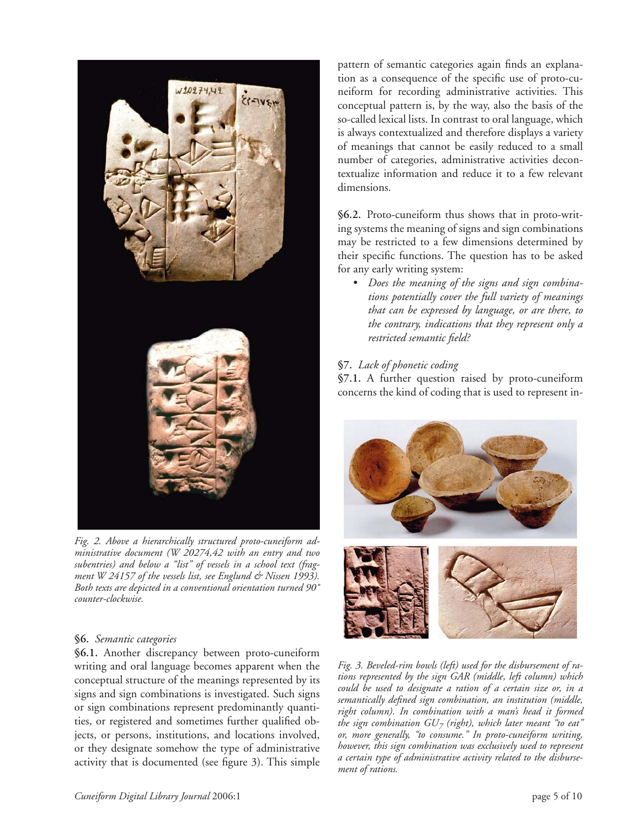

*Fig. 2. Above a hierarchically structured proto-cuneiform administrative document (W 20274,42 with an entry and two subentries) and below a "list" of vessels in a school text (fragment W 24157 of the vessels list, see Englund & Nissen 1993). Both texts are depicted in a conventional orientation turned 90˚ counter-clockwise.*

## **§6.** *Semantic categories*

**§6.1.** Another discrepancy between proto-cuneiform writing and oral language becomes apparent when the conceptual structure of the meanings represented by its signs and sign combinations is investigated. Such signs or sign combinations represent predominantly quantities, or registered and sometimes further qualified objects, or persons, institutions, and locations involved, or they designate somehow the type of administrative activity that is documented (see figure 3). This simple

pattern of semantic categories again finds an explanation as a consequence of the specific use of proto-cuneiform for recording administrative activities. This conceptual pattern is, by the way, also the basis of the so-called lexical lists. In contrast to oral language, which is always contextualized and therefore displays a variety of meanings that cannot be easily reduced to a small number of categories, administrative activities decontextualize information and reduce it to a few relevant dimensions.

**§6.2.** Proto-cuneiform thus shows that in proto-writing systems the meaning of signs and sign combinations may be restricted to a few dimensions determined by their specific functions. The question has to be asked for any early writing system:

• *Does the meaning of the signs and sign combinations potentially cover the full variety of meanings that can be expressed by language, or are there, to the contrary, indications that they represent only a restricted semantic fi eld?*

# **§7.** *Lack of phonetic coding*

**§7.1.** A further question raised by proto-cuneiform concerns the kind of coding that is used to represent in-



*Fig. 3. Beveled-rim bowls (left) used for the disbursement of rations represented by the sign GAR (middle, left column) which could be used to designate a ration of a certain size or, in a*  semantically defined sign combination, an institution (middle, *right column). In combination with a man's head it formed the sign combination*  $GU_{7}$  *(right), which later meant "to eat" or, more generally, "to consume." In proto-cuneiform writing, however, this sign combination was exclusively used to represent a certain type of administrative activity related to the disbursement of rations.*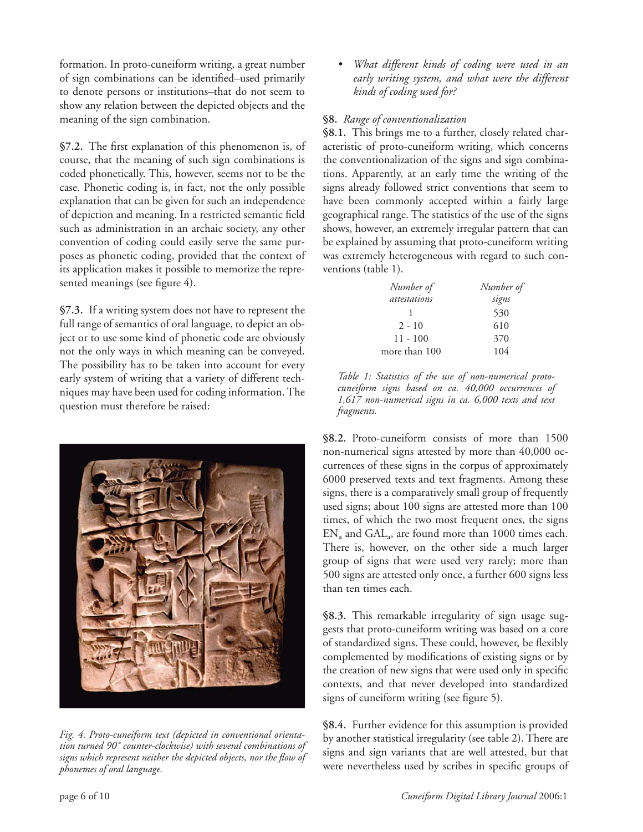formation. In proto-cuneiform writing, a great number of sign combinations can be identified–used primarily to denote persons or institutions–that do not seem to show any relation between the depicted objects and the meaning of the sign combination.

§7.2. The first explanation of this phenomenon is, of course, that the meaning of such sign combinations is coded phonetically. This, however, seems not to be the case. Phonetic coding is, in fact, not the only possible explanation that can be given for such an independence of depiction and meaning. In a restricted semantic field such as administration in an archaic society, any other convention of coding could easily serve the same purposes as phonetic coding, provided that the context of its application makes it possible to memorize the represented meanings (see figure 4).

**§7.3.** If a writing system does not have to represent the full range of semantics of oral language, to depict an object or to use some kind of phonetic code are obviously not the only ways in which meaning can be conveyed. The possibility has to be taken into account for every early system of writing that a variety of different techniques may have been used for coding information. The question must therefore be raised:



*Fig. 4. Proto-cuneiform text (depicted in conventional orientation turned 90˚ counter-clockwise) with several combinations of*  signs which represent neither the depicted objects, nor the flow of *phonemes of oral language.*

• *What different kinds of coding were used in an early writing system, and what were the different kinds of coding used for?*

# **§8.** *Range of conventionalization*

**§8.1.** This brings me to a further, closely related characteristic of proto-cuneiform writing, which concerns the conventionalization of the signs and sign combinations. Apparently, at an early time the writing of the signs already followed strict conventions that seem to have been commonly accepted within a fairly large geographical range. The statistics of the use of the signs shows, however, an extremely irregular pattern that can be explained by assuming that proto-cuneiform writing was extremely heterogeneous with regard to such conventions (table 1).

| Number of           | Number of |
|---------------------|-----------|
| <i>attestations</i> | signs     |
|                     | 530       |
| $2 - 10$            | 610       |
| $11 - 100$          | 370       |
| more than 100       | 104       |

*Table 1: Statistics of the use of non-numerical protocuneiform signs based on ca. 40,000 occurrences of 1,617 non-numerical signs in ca. 6,000 texts and text fragments.*

**§8.2.** Proto-cuneiform consists of more than 1500 non-numerical signs attested by more than 40,000 occurrences of these signs in the corpus of approximately 6000 preserved texts and text fragments. Among these signs, there is a comparatively small group of frequently used signs; about 100 signs are attested more than 100 times, of which the two most frequent ones, the signs  $EN_a$  and  $GAL_a$ , are found more than 1000 times each. There is, however, on the other side a much larger group of signs that were used very rarely; more than 500 signs are attested only once, a further 600 signs less than ten times each.

**§8.3.** This remarkable irregularity of sign usage suggests that proto-cuneiform writing was based on a core of standardized signs. These could, however, be flexibly complemented by modifications of existing signs or by the creation of new signs that were used only in specific contexts, and that never developed into standardized signs of cuneiform writing (see figure 5).

**§8.4.** Further evidence for this assumption is provided by another statistical irregularity (see table 2). There are signs and sign variants that are well attested, but that were nevertheless used by scribes in specific groups of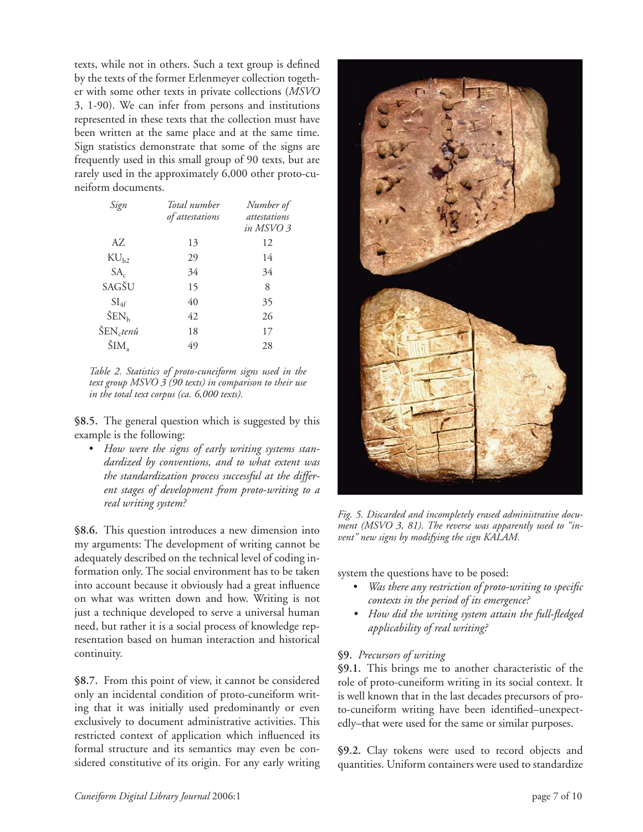texts, while not in others. Such a text group is defined by the texts of the former Erlenmeyer collection together with some other texts in private collections (*MSVO*  3, 1-90). We can infer from persons and institutions represented in these texts that the collection must have been written at the same place and at the same time. Sign statistics demonstrate that some of the signs are frequently used in this small group of 90 texts, but are rarely used in the approximately 6,000 other proto-cuneiform documents.

| Sign                    | Total number<br>of attestations | Number of<br>attestations<br>in MSVO 3 |
|-------------------------|---------------------------------|----------------------------------------|
| AZ.                     | 13                              | 12                                     |
| $\rm{KU}_{h2}$          | 29                              | 14                                     |
| $SA_c$                  | 34                              | 34                                     |
| SAGŠU                   | 15                              | 8                                      |
| $SI_{4f}$               | 40                              | 35                                     |
| $\text{ŠEN}_{\text{h}}$ | 42                              | 26                                     |
| $\text{ŠEN}_{c}$ tenû   | 18                              | 17                                     |
| ŠIM,                    | 49                              | 28                                     |

*Table 2. Statistics of proto-cuneiform signs used in the text group MSVO 3 (90 texts) in comparison to their use in the total text corpus (ca. 6,000 texts).*

**§8.5.** The general question which is suggested by this example is the following:

• *How were the signs of early writing systems standardized by conventions, and to what extent was the standardization process successful at the different stages of development from proto-writing to a real writing system?*

**§8.6.** This question introduces a new dimension into my arguments: The development of writing cannot be adequately described on the technical level of coding information only. The social environment has to be taken into account because it obviously had a great influence on what was written down and how. Writing is not just a technique developed to serve a universal human need, but rather it is a social process of knowledge representation based on human interaction and historical continuity.

**§8.7.** From this point of view, it cannot be considered only an incidental condition of proto-cuneiform writing that it was initially used predominantly or even exclusively to document administrative activities. This restricted context of application which influenced its formal structure and its semantics may even be considered constitutive of its origin. For any early writing



*Fig. 5. Discarded and incompletely erased administrative document (MSVO 3, 81). The reverse was apparently used to "invent" new signs by modifying the sign KALAM.*

system the questions have to be posed:

- Was there any restriction of proto-writing to specific *contexts in the period of its emergence?*
- How did the writing system attain the full-fledged *applicability of real writing?*

# **§9.** *Precursors of writing*

**§9.1.** This brings me to another characteristic of the role of proto-cuneiform writing in its social context. It is well known that in the last decades precursors of proto-cuneiform writing have been identified-unexpectedly–that were used for the same or similar purposes.

**§9.2.** Clay tokens were used to record objects and quantities. Uniform containers were used to standardize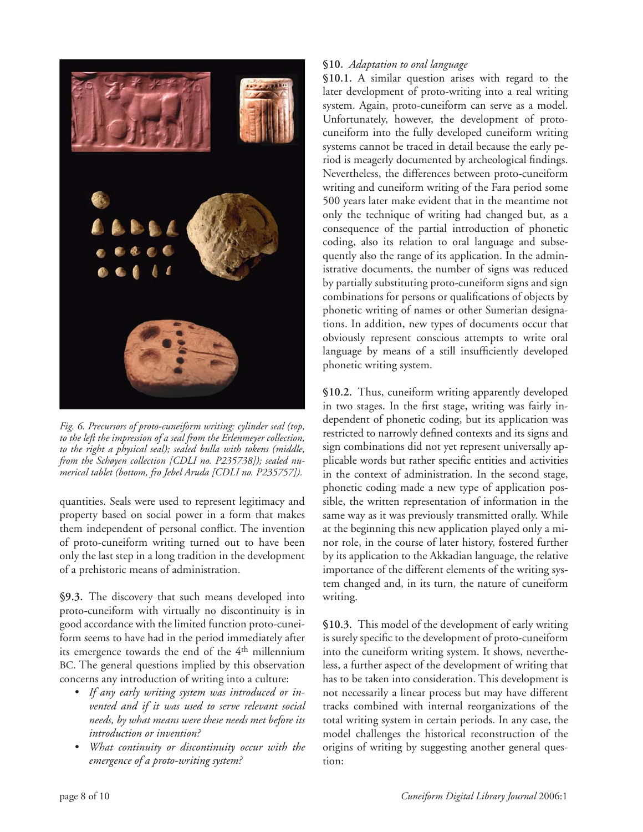

*Fig. 6. Precursors of proto-cuneiform writing: cylinder seal (top, to the left the impression of a seal from the Erlenmeyer collection, to the right a physical seal); sealed bulla with tokens (middle, from the Schøyen collection [CDLI no. P235738]); sealed numerical tablet (bottom, fro Jebel Aruda [CDLI no. P235757]).*

quantities. Seals were used to represent legitimacy and property based on social power in a form that makes them independent of personal conflict. The invention of proto-cuneiform writing turned out to have been only the last step in a long tradition in the development of a prehistoric means of administration.

**§9.3.** The discovery that such means developed into proto-cuneiform with virtually no discontinuity is in good accordance with the limited function proto-cuneiform seems to have had in the period immediately after its emergence towards the end of the 4<sup>th</sup> millennium BC. The general questions implied by this observation concerns any introduction of writing into a culture:

- *If any early writing system was introduced or invented and if it was used to serve relevant social needs, by what means were these needs met before its introduction or invention?*
- *What continuity or discontinuity occur with the emergence of a proto-writing system?*

# **§10.** *Adaptation to oral language*

**§10.1.** A similar question arises with regard to the later development of proto-writing into a real writing system. Again, proto-cuneiform can serve as a model. Unfortunately, however, the development of protocuneiform into the fully developed cuneiform writing systems cannot be traced in detail because the early period is meagerly documented by archeological findings. Nevertheless, the differences between proto-cuneiform writing and cuneiform writing of the Fara period some 500 years later make evident that in the meantime not only the technique of writing had changed but, as a consequence of the partial introduction of phonetic coding, also its relation to oral language and subsequently also the range of its application. In the administrative documents, the number of signs was reduced by partially substituting proto-cuneiform signs and sign combinations for persons or qualifications of objects by phonetic writing of names or other Sumerian designations. In addition, new types of documents occur that obviously represent conscious attempts to write oral language by means of a still insufficiently developed phonetic writing system.

**§10.2.** Thus, cuneiform writing apparently developed in two stages. In the first stage, writing was fairly independent of phonetic coding, but its application was restricted to narrowly defined contexts and its signs and sign combinations did not yet represent universally applicable words but rather specific entities and activities in the context of administration. In the second stage, phonetic coding made a new type of application possible, the written representation of information in the same way as it was previously transmitted orally. While at the beginning this new application played only a minor role, in the course of later history, fostered further by its application to the Akkadian language, the relative importance of the different elements of the writing system changed and, in its turn, the nature of cuneiform writing.

**§10.3.** This model of the development of early writing is surely specific to the development of proto-cuneiform into the cuneiform writing system. It shows, nevertheless, a further aspect of the development of writing that has to be taken into consideration. This development is not necessarily a linear process but may have different tracks combined with internal reorganizations of the total writing system in certain periods. In any case, the model challenges the historical reconstruction of the origins of writing by suggesting another general question: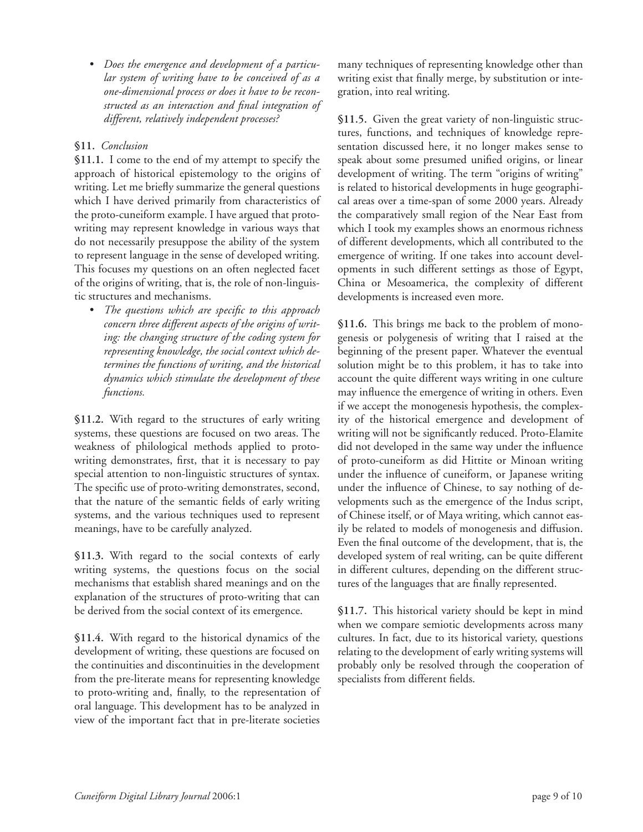*• Does the emergence and development of a particular system of writing have to be conceived of as a one-dimensional process or does it have to be recon*structed as an interaction and final integration of *different, relatively independent processes?*

# **§11.** *Conclusion*

**§11.1.** I come to the end of my attempt to specify the approach of historical epistemology to the origins of writing. Let me briefly summarize the general questions which I have derived primarily from characteristics of the proto-cuneiform example. I have argued that protowriting may represent knowledge in various ways that do not necessarily presuppose the ability of the system to represent language in the sense of developed writing. This focuses my questions on an often neglected facet of the origins of writing, that is, the role of non-linguistic structures and mechanisms.

• *The questions which are specific to this approach concern three different aspects of the origins of writing: the changing structure of the coding system for representing knowledge, the social context which determines the functions of writing, and the historical dynamics which stimulate the development of these functions.*

**§11.2.** With regard to the structures of early writing systems, these questions are focused on two areas. The weakness of philological methods applied to protowriting demonstrates, first, that it is necessary to pay special attention to non-linguistic structures of syntax. The specific use of proto-writing demonstrates, second, that the nature of the semantic fields of early writing systems, and the various techniques used to represent meanings, have to be carefully analyzed.

**§11.3.** With regard to the social contexts of early writing systems, the questions focus on the social mechanisms that establish shared meanings and on the explanation of the structures of proto-writing that can be derived from the social context of its emergence.

**§11.4.** With regard to the historical dynamics of the development of writing, these questions are focused on the continuities and discontinuities in the development from the pre-literate means for representing knowledge to proto-writing and, finally, to the representation of oral language. This development has to be analyzed in view of the important fact that in pre-literate societies many techniques of representing knowledge other than writing exist that finally merge, by substitution or integration, into real writing.

**§11.5.** Given the great variety of non-linguistic structures, functions, and techniques of knowledge representation discussed here, it no longer makes sense to speak about some presumed unified origins, or linear development of writing. The term "origins of writing" is related to historical developments in huge geographical areas over a time-span of some 2000 years. Already the comparatively small region of the Near East from which I took my examples shows an enormous richness of different developments, which all contributed to the emergence of writing. If one takes into account developments in such different settings as those of Egypt, China or Mesoamerica, the complexity of different developments is increased even more.

**§11.6.** This brings me back to the problem of monogenesis or polygenesis of writing that I raised at the beginning of the present paper. Whatever the eventual solution might be to this problem, it has to take into account the quite different ways writing in one culture may influence the emergence of writing in others. Even if we accept the monogenesis hypothesis, the complexity of the historical emergence and development of writing will not be significantly reduced. Proto-Elamite did not developed in the same way under the influence of proto-cuneiform as did Hittite or Minoan writing under the influence of cuneiform, or Japanese writing under the influence of Chinese, to say nothing of developments such as the emergence of the Indus script, of Chinese itself, or of Maya writing, which cannot easily be related to models of monogenesis and diffusion. Even the final outcome of the development, that is, the developed system of real writing, can be quite different in different cultures, depending on the different structures of the languages that are finally represented.

**§11.7.** This historical variety should be kept in mind when we compare semiotic developments across many cultures. In fact, due to its historical variety, questions relating to the development of early writing systems will probably only be resolved through the cooperation of specialists from different fields.